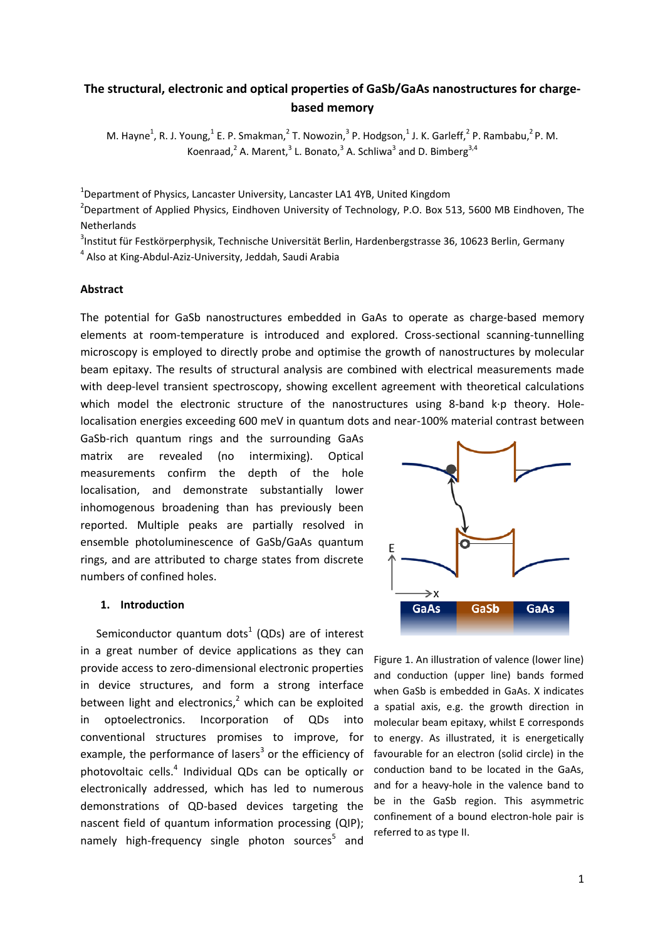# **The structural, electronic and optical properties of GaSb/GaAs nanostructures for charge‐ based memory**

M. Hayne<sup>1</sup>, R. J. Young,<sup>1</sup> E. P. Smakman,<sup>2</sup> T. Nowozin,<sup>3</sup> P. Hodgson,<sup>1</sup> J. K. Garleff,<sup>2</sup> P. Rambabu,<sup>2</sup> P. M. Koenraad,<sup>2</sup> A. Marent,<sup>3</sup> L. Bonato,<sup>3</sup> A. Schliwa<sup>3</sup> and D. Bimberg<sup>3,4</sup>

<sup>1</sup>Department of Physics, Lancaster University, Lancaster LA1 4YB, United Kingdom

<sup>2</sup>Department of Applied Physics, Eindhoven University of Technology, P.O. Box 513, 5600 MB Eindhoven, The Netherlands

3 Institut für Festkörperphysik, Technische Universität Berlin, Hardenbergstrasse 36, 10623 Berlin, Germany <sup>4</sup> Also at King‐Abdul‐Aziz‐University, Jeddah, Saudi Arabia

#### **Abstract**

The potential for GaSb nanostructures embedded in GaAs to operate as charge-based memory elements at room-temperature is introduced and explored. Cross-sectional scanning-tunnelling microscopy is employed to directly probe and optimise the growth of nanostructures by molecular beam epitaxy. The results of structural analysis are combined with electrical measurements made with deep-level transient spectroscopy, showing excellent agreement with theoretical calculations which model the electronic structure of the nanostructures using 8-band k⋅p theory. Holelocalisation energies exceeding 600 meV in quantum dots and near‐100% material contrast between

GaSb‐rich quantum rings and the surrounding GaAs matrix are revealed (no intermixing). Optical measurements confirm the depth of the hole localisation, and demonstrate substantially lower inhomogenous broadening than has previously been reported. Multiple peaks are partially resolved in ensemble photoluminescence of GaSb/GaAs quantum rings, and are attributed to charge states from discrete numbers of confined holes.

#### **1. Introduction**

Semiconductor quantum dots<sup>1</sup> (QDs) are of interest in a great number of device applications as they can provide access to zero‐dimensional electronic properties in device structures, and form a strong interface between light and electronics, $^2$  which can be exploited in optoelectronics. Incorporation of QDs into conventional structures promises to improve, for example, the performance of lasers<sup>3</sup> or the efficiency of photovoltaic cells.<sup>4</sup> Individual QDs can be optically or electronically addressed, which has led to numerous demonstrations of QD‐based devices targeting the nascent field of quantum information processing (QIP); namely high-frequency single photon sources<sup>5</sup> and



Figure 1. An illustration of valence (lower line) and conduction (upper line) bands formed when GaSb is embedded in GaAs. X indicates a spatial axis, e.g. the growth direction in molecular beam epitaxy, whilst E corresponds to energy. As illustrated, it is energetically favourable for an electron (solid circle) in the conduction band to be located in the GaAs, and for a heavy‐hole in the valence band to be in the GaSb region. This asymmetric confinement of a bound electron‐hole pair is referred to as type II.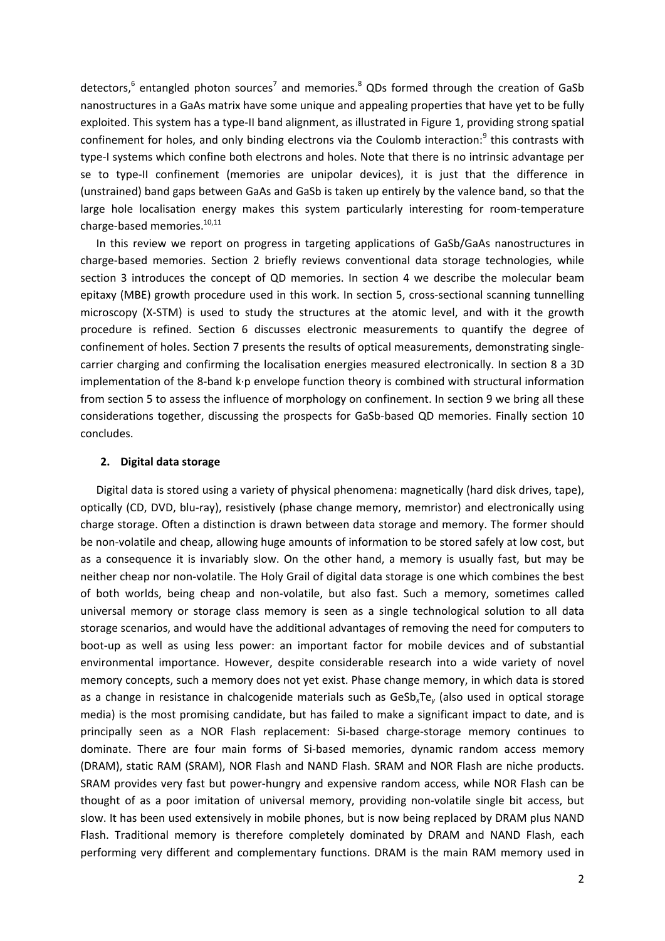detectors, $6$  entangled photon sources<sup>7</sup> and memories. $8$  QDs formed through the creation of GaSb nanostructures in a GaAs matrix have some unique and appealing properties that have yet to be fully exploited. This system has a type‐II band alignment, as illustrated in Figure 1, providing strong spatial confinement for holes, and only binding electrons via the Coulomb interaction:<sup>9</sup> this contrasts with type‐I systems which confine both electrons and holes. Note that there is no intrinsic advantage per se to type-II confinement (memories are unipolar devices), it is just that the difference in (unstrained) band gaps between GaAs and GaSb is taken up entirely by the valence band, so that the large hole localisation energy makes this system particularly interesting for room-temperature charge-based memories.<sup>10,11</sup>

In this review we report on progress in targeting applications of GaSb/GaAs nanostructures in charge‐based memories. Section 2 briefly reviews conventional data storage technologies, while section 3 introduces the concept of QD memories. In section 4 we describe the molecular beam epitaxy (MBE) growth procedure used in this work. In section 5, cross-sectional scanning tunnelling microscopy (X‐STM) is used to study the structures at the atomic level, and with it the growth procedure is refined. Section 6 discusses electronic measurements to quantify the degree of confinement of holes. Section 7 presents the results of optical measurements, demonstrating single‐ carrier charging and confirming the localisation energies measured electronically. In section 8 a 3D implementation of the 8‐band k∙p envelope function theory is combined with structural information from section 5 to assess the influence of morphology on confinement. In section 9 we bring all these considerations together, discussing the prospects for GaSb-based QD memories. Finally section 10 concludes.

## **2. Digital data storage**

Digital data is stored using a variety of physical phenomena: magnetically (hard disk drives, tape), optically (CD, DVD, blu‐ray), resistively (phase change memory, memristor) and electronically using charge storage. Often a distinction is drawn between data storage and memory. The former should be non-volatile and cheap, allowing huge amounts of information to be stored safely at low cost, but as a consequence it is invariably slow. On the other hand, a memory is usually fast, but may be neither cheap nor non‐volatile. The Holy Grail of digital data storage is one which combines the best of both worlds, being cheap and non‐volatile, but also fast. Such a memory, sometimes called universal memory or storage class memory is seen as a single technological solution to all data storage scenarios, and would have the additional advantages of removing the need for computers to boot-up as well as using less power: an important factor for mobile devices and of substantial environmental importance. However, despite considerable research into a wide variety of novel memory concepts, such a memory does not yet exist. Phase change memory, in which data is stored as a change in resistance in chalcogenide materials such as GeSb*x*Te*<sup>y</sup>* (also used in optical storage media) is the most promising candidate, but has failed to make a significant impact to date, and is principally seen as a NOR Flash replacement: Si-based charge-storage memory continues to dominate. There are four main forms of Si‐based memories, dynamic random access memory (DRAM), static RAM (SRAM), NOR Flash and NAND Flash. SRAM and NOR Flash are niche products. SRAM provides very fast but power-hungry and expensive random access, while NOR Flash can be thought of as a poor imitation of universal memory, providing non‐volatile single bit access, but slow. It has been used extensively in mobile phones, but is now being replaced by DRAM plus NAND Flash. Traditional memory is therefore completely dominated by DRAM and NAND Flash, each performing very different and complementary functions. DRAM is the main RAM memory used in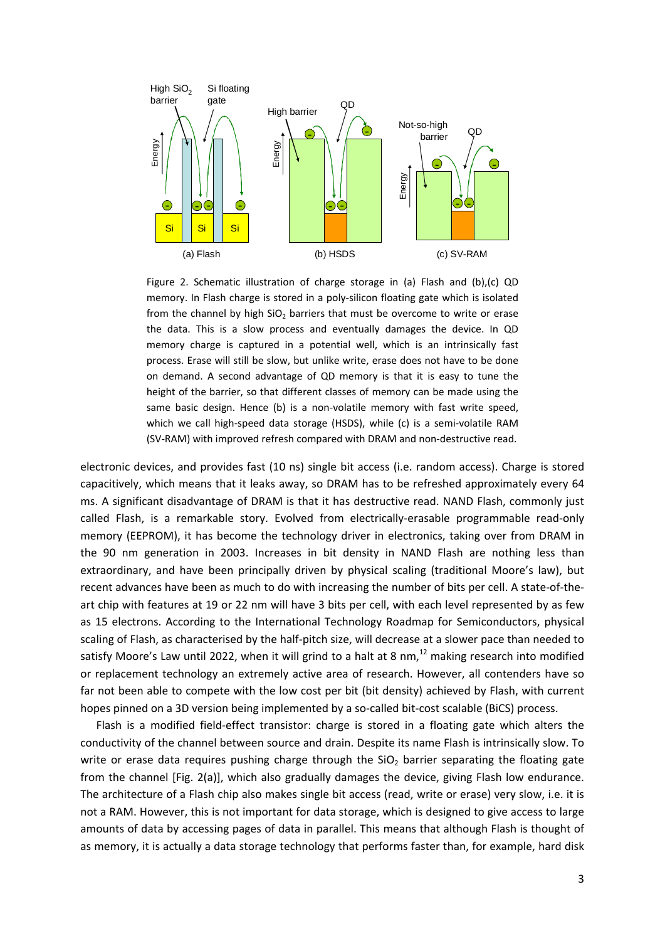

Figure 2. Schematic illustration of charge storage in (a) Flash and (b),(c) QD memory. In Flash charge is stored in a poly-silicon floating gate which is isolated from the channel by high  $SiO<sub>2</sub>$  barriers that must be overcome to write or erase the data. This is a slow process and eventually damages the device. In QD memory charge is captured in a potential well, which is an intrinsically fast process. Erase will still be slow, but unlike write, erase does not have to be done on demand. A second advantage of QD memory is that it is easy to tune the height of the barrier, so that different classes of memory can be made using the same basic design. Hence (b) is a non-volatile memory with fast write speed, which we call high-speed data storage (HSDS), while (c) is a semi-volatile RAM (SV‐RAM) with improved refresh compared with DRAM and non‐destructive read.

electronic devices, and provides fast (10 ns) single bit access (i.e. random access). Charge is stored capacitively, which means that it leaks away, so DRAM has to be refreshed approximately every 64 ms. A significant disadvantage of DRAM is that it has destructive read. NAND Flash, commonly just called Flash, is a remarkable story. Evolved from electrically‐erasable programmable read‐only memory (EEPROM), it has become the technology driver in electronics, taking over from DRAM in the 90 nm generation in 2003. Increases in bit density in NAND Flash are nothing less than extraordinary, and have been principally driven by physical scaling (traditional Moore's law), but recent advances have been as much to do with increasing the number of bits per cell. A state-of-theart chip with features at 19 or 22 nm will have 3 bits per cell, with each level represented by as few as 15 electrons. According to the International Technology Roadmap for Semiconductors, physical scaling of Flash, as characterised by the half‐pitch size, will decrease at a slower pace than needed to satisfy Moore's Law until 2022, when it will grind to a halt at 8 nm, $^{12}$  making research into modified or replacement technology an extremely active area of research. However, all contenders have so far not been able to compete with the low cost per bit (bit density) achieved by Flash, with current hopes pinned on a 3D version being implemented by a so-called bit-cost scalable (BiCS) process.

Flash is a modified field‐effect transistor: charge is stored in a floating gate which alters the conductivity of the channel between source and drain. Despite its name Flash is intrinsically slow. To write or erase data requires pushing charge through the  $SiO<sub>2</sub>$  barrier separating the floating gate from the channel [Fig. 2(a)], which also gradually damages the device, giving Flash low endurance. The architecture of a Flash chip also makes single bit access (read, write or erase) very slow, i.e. it is not a RAM. However, this is not important for data storage, which is designed to give access to large amounts of data by accessing pages of data in parallel. This means that although Flash is thought of as memory, it is actually a data storage technology that performs faster than, for example, hard disk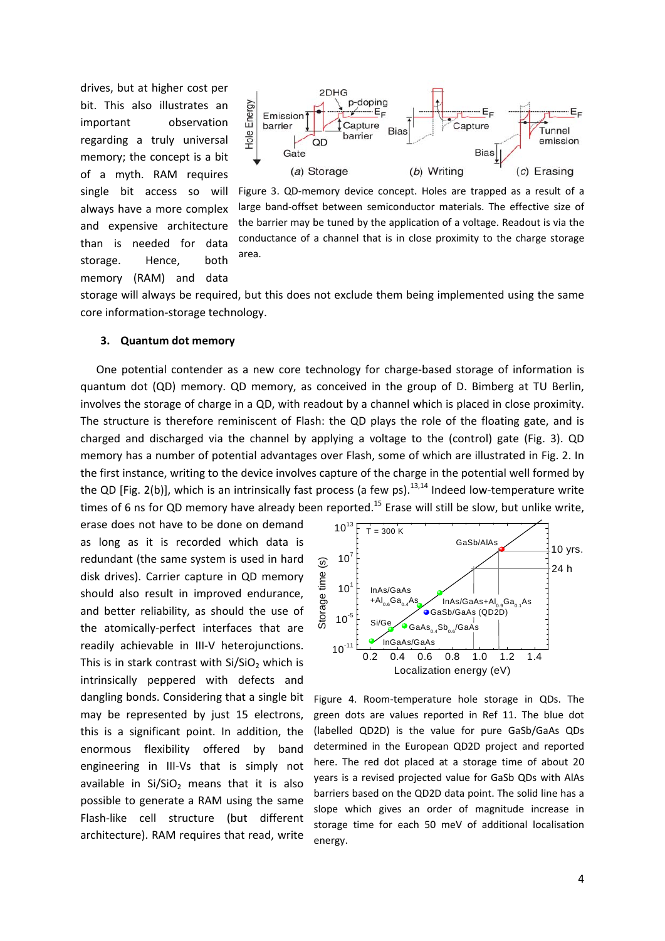drives, but at higher cost per bit. This also illustrates an important observation regarding a truly universal memory; the concept is a bit of a myth. RAM requires single bit access so will always have a more complex and expensive architecture than is needed for data storage. Hence, both memory (RAM) and data



Figure 3. QD-memory device concept. Holes are trapped as a result of a large band‐offset between semiconductor materials. The effective size of the barrier may be tuned by the application of a voltage. Readout is via the conductance of a channel that is in close proximity to the charge storage area.

storage will always be required, but this does not exclude them being implemented using the same core information‐storage technology.

# **3. Quantum dot memory**

One potential contender as a new core technology for charge‐based storage of information is quantum dot (QD) memory. QD memory, as conceived in the group of D. Bimberg at TU Berlin, involves the storage of charge in a QD, with readout by a channel which is placed in close proximity. The structure is therefore reminiscent of Flash: the QD plays the role of the floating gate, and is charged and discharged via the channel by applying a voltage to the (control) gate (Fig. 3). QD memory has a number of potential advantages over Flash, some of which are illustrated in Fig. 2. In the first instance, writing to the device involves capture of the charge in the potential well formed by the QD [Fig. 2(b)], which is an intrinsically fast process (a few ps).<sup>13,14</sup> Indeed low-temperature write times of 6 ns for QD memory have already been reported.<sup>15</sup> Erase will still be slow, but unlike write,

erase does not have to be done on demand as long as it is recorded which data is redundant (the same system is used in hard disk drives). Carrier capture in QD memory should also result in improved endurance, and better reliability, as should the use of the atomically‐perfect interfaces that are readily achievable in III‐V heterojunctions. This is in stark contrast with  $Si/SiO<sub>2</sub>$  which is intrinsically peppered with defects and dangling bonds. Considering that a single bit may be represented by just 15 electrons, this is a significant point. In addition, the enormous flexibility offered by band engineering in III‐Vs that is simply not available in  $Si/SiO<sub>2</sub>$  means that it is also possible to generate a RAM using the same Flash‐like cell structure (but different architecture). RAM requires that read, write



Figure 4. Room-temperature hole storage in QDs. The green dots are values reported in Ref 11. The blue dot (labelled QD2D) is the value for pure GaSb/GaAs QDs determined in the European QD2D project and reported here. The red dot placed at a storage time of about 20 years is a revised projected value for GaSb QDs with AlAs barriers based on the QD2D data point. The solid line has a slope which gives an order of magnitude increase in storage time for each 50 meV of additional localisation energy.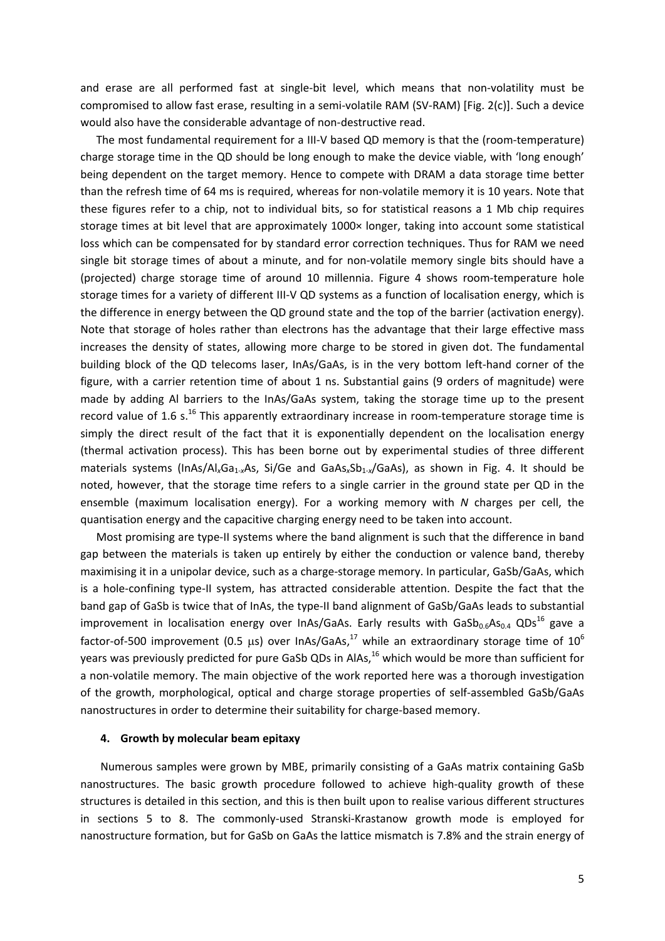and erase are all performed fast at single-bit level, which means that non-volatility must be compromised to allow fast erase, resulting in a semi‐volatile RAM (SV‐RAM) [Fig. 2(c)]. Such a device would also have the considerable advantage of non‐destructive read.

The most fundamental requirement for a III-V based QD memory is that the (room-temperature) charge storage time in the QD should be long enough to make the device viable, with 'long enough' being dependent on the target memory. Hence to compete with DRAM a data storage time better than the refresh time of 64 ms is required, whereas for non-volatile memory it is 10 years. Note that these figures refer to a chip, not to individual bits, so for statistical reasons a 1 Mb chip requires storage times at bit level that are approximately 1000× longer, taking into account some statistical loss which can be compensated for by standard error correction techniques. Thus for RAM we need single bit storage times of about a minute, and for non-volatile memory single bits should have a (projected) charge storage time of around 10 millennia. Figure 4 shows room-temperature hole storage times for a variety of different III-V QD systems as a function of localisation energy, which is the difference in energy between the QD ground state and the top of the barrier (activation energy). Note that storage of holes rather than electrons has the advantage that their large effective mass increases the density of states, allowing more charge to be stored in given dot. The fundamental building block of the QD telecoms laser, InAs/GaAs, is in the very bottom left-hand corner of the figure, with a carrier retention time of about 1 ns. Substantial gains (9 orders of magnitude) were made by adding Al barriers to the InAs/GaAs system, taking the storage time up to the present record value of 1.6 s.<sup>16</sup> This apparently extraordinary increase in room-temperature storage time is simply the direct result of the fact that it is exponentially dependent on the localisation energy (thermal activation process). This has been borne out by experimental studies of three different materials systems (InAs/Al*x*Ga1‐*x*As, Si/Ge and GaAs*x*Sb1‐*x*/GaAs), as shown in Fig. 4. It should be noted, however, that the storage time refers to a single carrier in the ground state per QD in the ensemble (maximum localisation energy). For a working memory with *N* charges per cell, the quantisation energy and the capacitive charging energy need to be taken into account.

Most promising are type-II systems where the band alignment is such that the difference in band gap between the materials is taken up entirely by either the conduction or valence band, thereby maximising it in a unipolar device, such as a charge‐storage memory. In particular, GaSb/GaAs, which is a hole‐confining type‐II system, has attracted considerable attention. Despite the fact that the band gap of GaSb is twice that of InAs, the type‐II band alignment of GaSb/GaAs leads to substantial improvement in localisation energy over InAs/GaAs. Early results with GaSb<sub>0.6</sub>As<sub>0.4</sub> QDs<sup>16</sup> gave a factor-of-500 improvement (0.5 µs) over InAs/GaAs,<sup>17</sup> while an extraordinary storage time of 10<sup>6</sup> years was previously predicted for pure GaSb QDs in AlAs.<sup>16</sup> which would be more than sufficient for a non-volatile memory. The main objective of the work reported here was a thorough investigation of the growth, morphological, optical and charge storage properties of self‐assembled GaSb/GaAs nanostructures in order to determine their suitability for charge-based memory.

# **4. Growth by molecular beam epitaxy**

Numerous samples were grown by MBE, primarily consisting of a GaAs matrix containing GaSb nanostructures. The basic growth procedure followed to achieve high-quality growth of these structures is detailed in this section, and this is then built upon to realise various different structures in sections 5 to 8. The commonly-used Stranski-Krastanow growth mode is employed for nanostructure formation, but for GaSb on GaAs the lattice mismatch is 7.8% and the strain energy of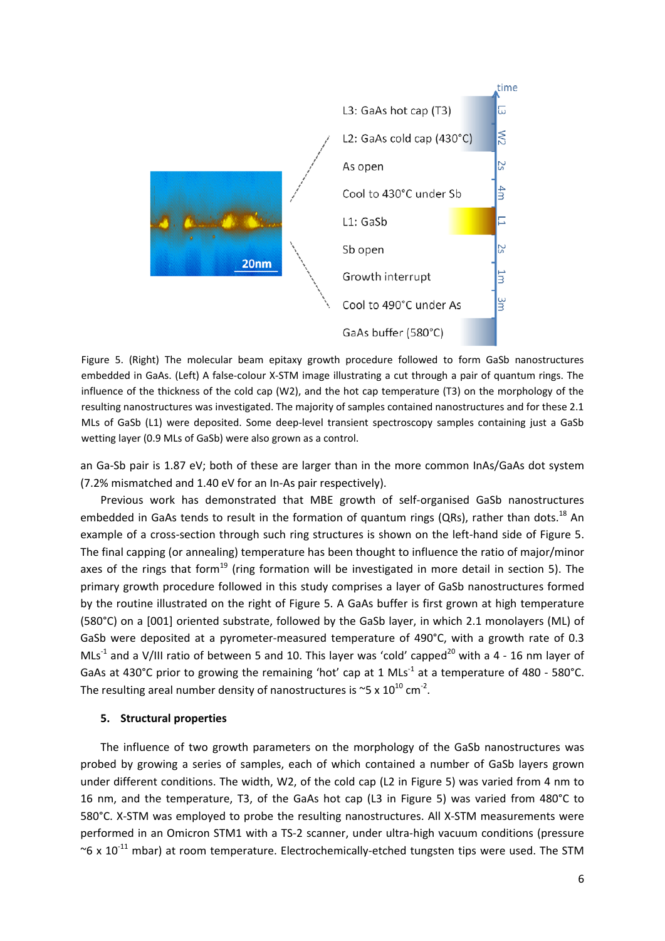

Figure 5. (Right) The molecular beam epitaxy growth procedure followed to form GaSb nanostructures embedded in GaAs. (Left) A false-colour X-STM image illustrating a cut through a pair of quantum rings. The influence of the thickness of the cold cap (W2), and the hot cap temperature (T3) on the morphology of the resulting nanostructures was investigated. The majority of samples contained nanostructures and for these 2.1 MLs of GaSb (L1) were deposited. Some deep-level transient spectroscopy samples containing just a GaSb wetting layer (0.9 MLs of GaSb) were also grown as a control.

an Ga-Sb pair is 1.87 eV; both of these are larger than in the more common InAs/GaAs dot system (7.2% mismatched and 1.40 eV for an In‐As pair respectively).

Previous work has demonstrated that MBE growth of self‐organised GaSb nanostructures embedded in GaAs tends to result in the formation of quantum rings (QRs), rather than dots.<sup>18</sup> An example of a cross-section through such ring structures is shown on the left-hand side of Figure 5. The final capping (or annealing) temperature has been thought to influence the ratio of major/minor axes of the rings that form<sup>19</sup> (ring formation will be investigated in more detail in section 5). The primary growth procedure followed in this study comprises a layer of GaSb nanostructures formed by the routine illustrated on the right of Figure 5. A GaAs buffer is first grown at high temperature (580°C) on a [001] oriented substrate, followed by the GaSb layer, in which 2.1 monolayers (ML) of GaSb were deposited at a pyrometer‐measured temperature of 490°C, with a growth rate of 0.3 MLs<sup>-1</sup> and a V/III ratio of between 5 and 10. This layer was 'cold' capped<sup>20</sup> with a 4 - 16 nm layer of GaAs at 430°C prior to growing the remaining 'hot' cap at 1 MLs<sup>-1</sup> at a temperature of 480 - 580°C. The resulting areal number density of nanostructures is ~5 x  $10^{10}$  cm<sup>-2</sup>.

## **5. Structural properties**

The influence of two growth parameters on the morphology of the GaSb nanostructures was probed by growing a series of samples, each of which contained a number of GaSb layers grown under different conditions. The width, W2, of the cold cap (L2 in Figure 5) was varied from 4 nm to 16 nm, and the temperature, T3, of the GaAs hot cap (L3 in Figure 5) was varied from 480°C to 580°C. X‐STM was employed to probe the resulting nanostructures. All X‐STM measurements were performed in an Omicron STM1 with a TS‐2 scanner, under ultra‐high vacuum conditions (pressure ~6 x 10<sup>-11</sup> mbar) at room temperature. Electrochemically-etched tungsten tips were used. The STM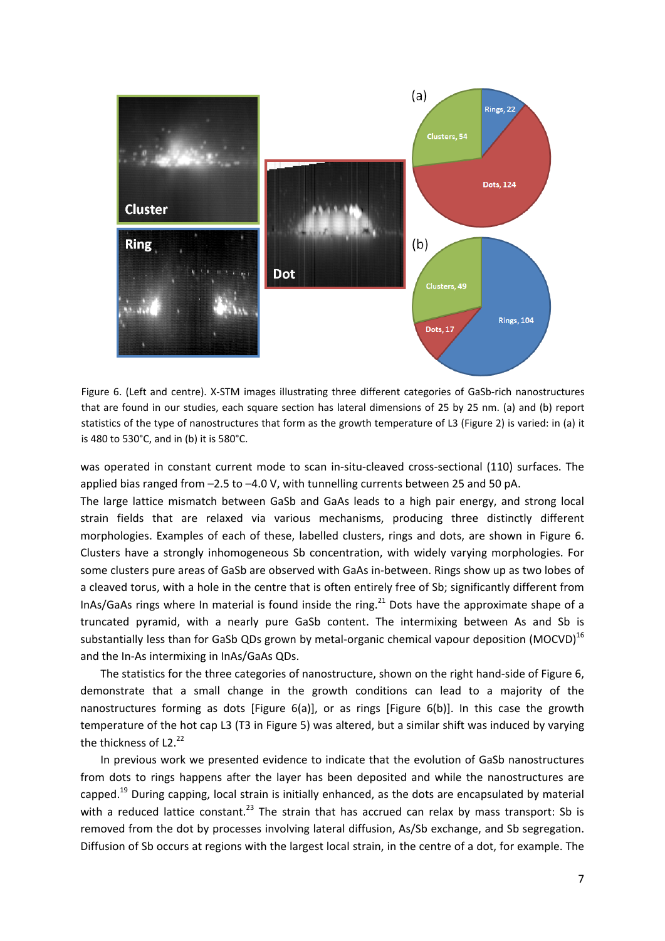

Figure 6. (Left and centre). X‐STM images illustrating three different categories of GaSb‐rich nanostructures that are found in our studies, each square section has lateral dimensions of 25 by 25 nm. (a) and (b) report statistics of the type of nanostructures that form as the growth temperature of L3 (Figure 2) is varied: in (a) it is 480 to 530°C, and in (b) it is 580°C.

was operated in constant current mode to scan in-situ-cleaved cross-sectional (110) surfaces. The applied bias ranged from  $-2.5$  to  $-4.0$  V, with tunnelling currents between 25 and 50 pA.

The large lattice mismatch between GaSb and GaAs leads to a high pair energy, and strong local strain fields that are relaxed via various mechanisms, producing three distinctly different morphologies. Examples of each of these, labelled clusters, rings and dots, are shown in Figure 6. Clusters have a strongly inhomogeneous Sb concentration, with widely varying morphologies. For some clusters pure areas of GaSb are observed with GaAs in-between. Rings show up as two lobes of a cleaved torus, with a hole in the centre that is often entirely free of Sb; significantly different from InAs/GaAs rings where In material is found inside the ring.<sup>21</sup> Dots have the approximate shape of a truncated pyramid, with a nearly pure GaSb content. The intermixing between As and Sb is substantially less than for GaSb QDs grown by metal-organic chemical vapour deposition (MOCVD)<sup>16</sup> and the In‐As intermixing in InAs/GaAs QDs.

The statistics for the three categories of nanostructure, shown on the right hand‐side of Figure 6, demonstrate that a small change in the growth conditions can lead to a majority of the nanostructures forming as dots [Figure 6(a)], or as rings [Figure 6(b)]. In this case the growth temperature of the hot cap L3 (T3 in Figure 5) was altered, but a similar shift was induced by varying the thickness of  $L2.<sup>22</sup>$ 

In previous work we presented evidence to indicate that the evolution of GaSb nanostructures from dots to rings happens after the layer has been deposited and while the nanostructures are capped.<sup>19</sup> During capping, local strain is initially enhanced, as the dots are encapsulated by material with a reduced lattice constant.<sup>23</sup> The strain that has accrued can relax by mass transport: Sb is removed from the dot by processes involving lateral diffusion, As/Sb exchange, and Sb segregation. Diffusion of Sb occurs at regions with the largest local strain, in the centre of a dot, for example. The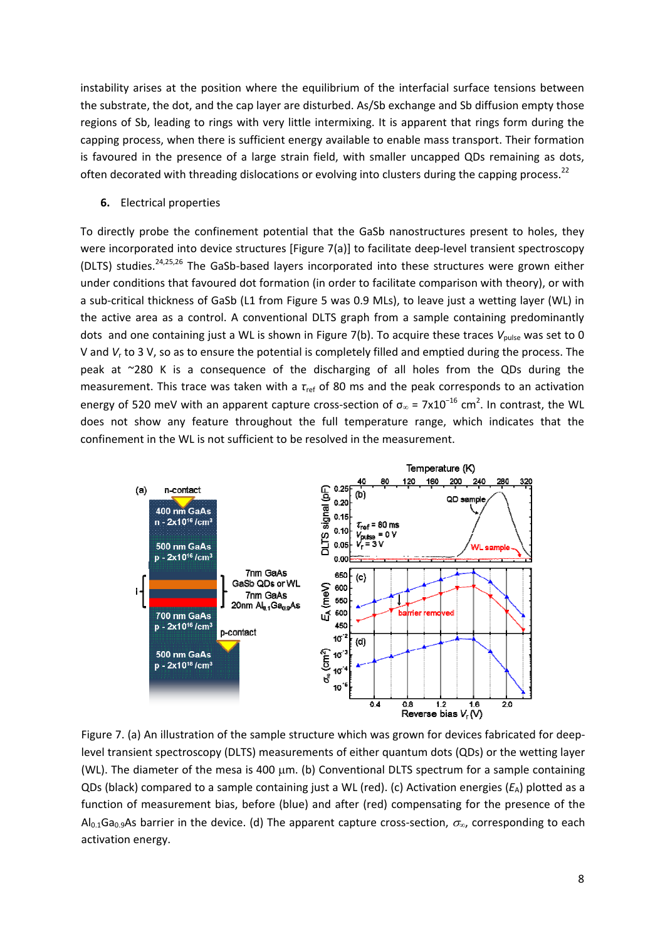instability arises at the position where the equilibrium of the interfacial surface tensions between the substrate, the dot, and the cap layer are disturbed. As/Sb exchange and Sb diffusion empty those regions of Sb, leading to rings with very little intermixing. It is apparent that rings form during the capping process, when there is sufficient energy available to enable mass transport. Their formation is favoured in the presence of a large strain field, with smaller uncapped QDs remaining as dots, often decorated with threading dislocations or evolving into clusters during the capping process.<sup>22</sup>

**6.** Electrical properties

To directly probe the confinement potential that the GaSb nanostructures present to holes, they were incorporated into device structures [Figure 7(a)] to facilitate deep-level transient spectroscopy (DLTS) studies.<sup>24,25,26</sup> The GaSb-based layers incorporated into these structures were grown either under conditions that favoured dot formation (in order to facilitate comparison with theory), or with a sub‐critical thickness of GaSb (L1 from Figure 5 was 0.9 MLs), to leave just a wetting layer (WL) in the active area as a control. A conventional DLTS graph from a sample containing predominantly dots and one containing just a WL is shown in Figure 7(b). To acquire these traces  $V_{\text{pulse}}$  was set to 0 V and *V*<sup>r</sup> to 3 V, so as to ensure the potential is completely filled and emptied during the process. The peak at ~280 K is a consequence of the discharging of all holes from the QDs during the measurement. This trace was taken with a *τ<sub>ref</sub>* of 80 ms and the peak corresponds to an activation energy of 520 meV with an apparent capture cross-section of  $\sigma_{\infty}$  = 7x10<sup>-16</sup> cm<sup>2</sup>. In contrast, the WL does not show any feature throughout the full temperature range, which indicates that the confinement in the WL is not sufficient to be resolved in the measurement.



Figure 7. (a) An illustration of the sample structure which was grown for devices fabricated for deeplevel transient spectroscopy (DLTS) measurements of either quantum dots (QDs) or the wetting layer (WL). The diameter of the mesa is 400 µm. (b) Conventional DLTS spectrum for a sample containing QDs (black) compared to a sample containing just a WL (red). (c) Activation energies ( $E_A$ ) plotted as a function of measurement bias, before (blue) and after (red) compensating for the presence of the Al<sub>0.1</sub>Ga<sub>0.9</sub>As barrier in the device. (d) The apparent capture cross-section,  $\sigma_{\infty}$ , corresponding to each activation energy.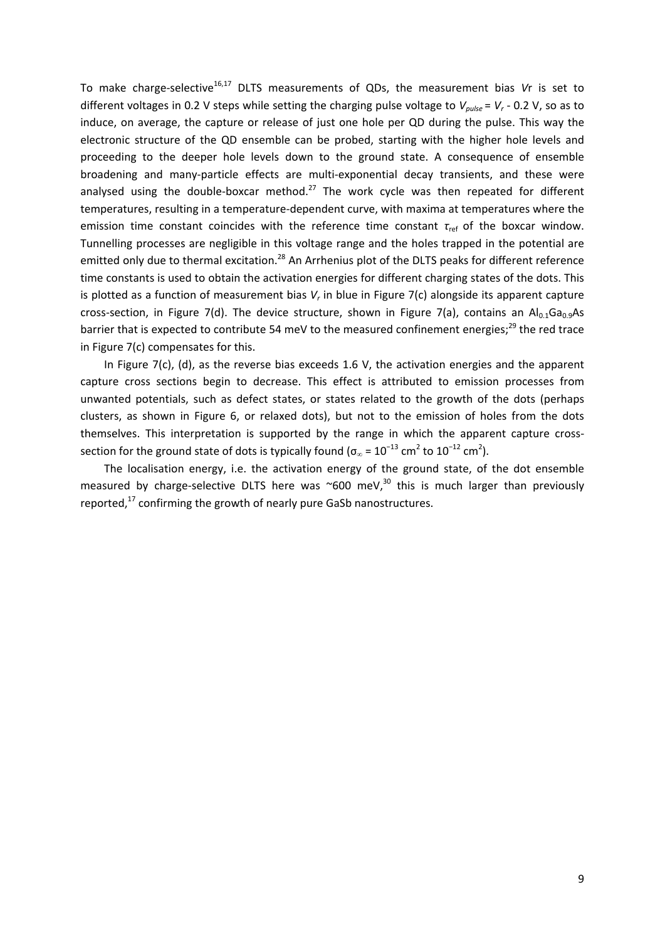To make charge-selective<sup>16,17</sup> DLTS measurements of QDs, the measurement bias *Vr* is set to different voltages in 0.2 V steps while setting the charging pulse voltage to  $V_{pulse} = V_r - 0.2$  V, so as to induce, on average, the capture or release of just one hole per QD during the pulse. This way the electronic structure of the QD ensemble can be probed, starting with the higher hole levels and proceeding to the deeper hole levels down to the ground state. A consequence of ensemble broadening and many‐particle effects are multi‐exponential decay transients, and these were analysed using the double-boxcar method.<sup>27</sup> The work cycle was then repeated for different temperatures, resulting in a temperature‐dependent curve, with maxima at temperatures where the emission time constant coincides with the reference time constant *τ<sub>ref</sub>* of the boxcar window. Tunnelling processes are negligible in this voltage range and the holes trapped in the potential are emitted only due to thermal excitation.<sup>28</sup> An Arrhenius plot of the DLTS peaks for different reference time constants is used to obtain the activation energies for different charging states of the dots. This is plotted as a function of measurement bias *Vr* in blue in Figure 7(c) alongside its apparent capture cross-section, in Figure 7(d). The device structure, shown in Figure 7(a), contains an Al<sub>0.1</sub>Ga<sub>0.9</sub>As barrier that is expected to contribute 54 meV to the measured confinement energies;<sup>29</sup> the red trace in Figure 7(c) compensates for this.

In Figure 7(c), (d), as the reverse bias exceeds 1.6 V, the activation energies and the apparent capture cross sections begin to decrease. This effect is attributed to emission processes from unwanted potentials, such as defect states, or states related to the growth of the dots (perhaps clusters, as shown in Figure 6, or relaxed dots), but not to the emission of holes from the dots themselves. This interpretation is supported by the range in which the apparent capture crosssection for the ground state of dots is typically found ( $\sigma_{\infty}$  = 10<sup>-13</sup> cm<sup>2</sup> to 10<sup>-12</sup> cm<sup>2</sup>).

The localisation energy, i.e. the activation energy of the ground state, of the dot ensemble measured by charge-selective DLTS here was  $\sim 600$  meV.<sup>30</sup> this is much larger than previously reported, $^{17}$  confirming the growth of nearly pure GaSb nanostructures.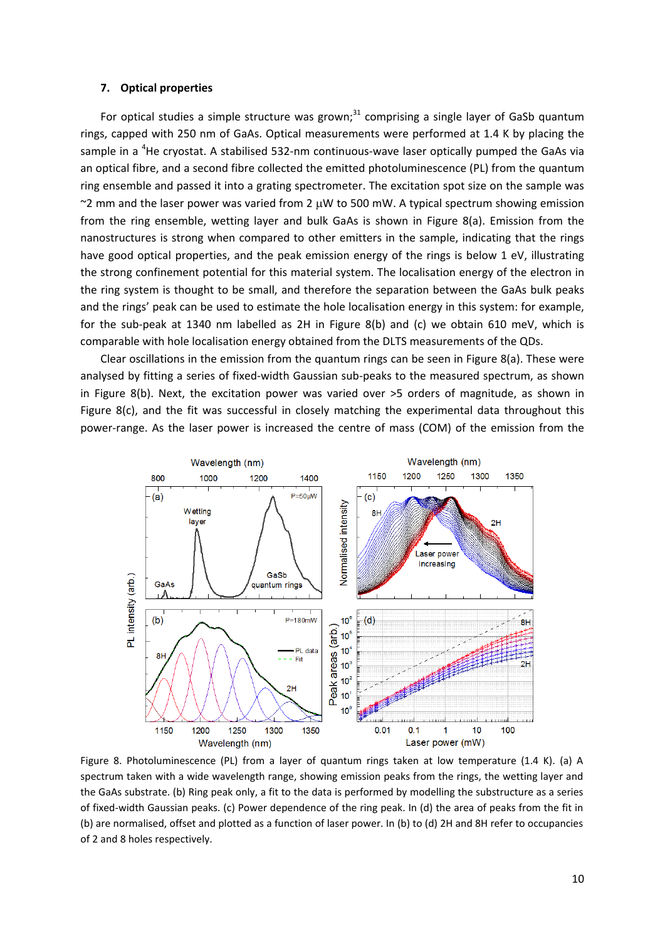# **7. Optical properties**

For optical studies a simple structure was grown;<sup>31</sup> comprising a single layer of GaSb quantum rings, capped with 250 nm of GaAs. Optical measurements were performed at 1.4 K by placing the sample in a <sup>4</sup>He cryostat. A stabilised 532-nm continuous-wave laser optically pumped the GaAs via an optical fibre, and a second fibre collected the emitted photoluminescence (PL) from the quantum ring ensemble and passed it into a grating spectrometer. The excitation spot size on the sample was  $\gamma$ 2 mm and the laser power was varied from 2  $\mu$ W to 500 mW. A typical spectrum showing emission from the ring ensemble, wetting layer and bulk GaAs is shown in Figure 8(a). Emission from the nanostructures is strong when compared to other emitters in the sample, indicating that the rings have good optical properties, and the peak emission energy of the rings is below 1 eV, illustrating the strong confinement potential for this material system. The localisation energy of the electron in the ring system is thought to be small, and therefore the separation between the GaAs bulk peaks and the rings' peak can be used to estimate the hole localisation energy in this system: for example, for the sub‐peak at 1340 nm labelled as 2H in Figure 8(b) and (c) we obtain 610 meV, which is comparable with hole localisation energy obtained from the DLTS measurements of the QDs.

Clear oscillations in the emission from the quantum rings can be seen in Figure 8(a). These were analysed by fitting a series of fixed‐width Gaussian sub‐peaks to the measured spectrum, as shown in Figure 8(b). Next, the excitation power was varied over >5 orders of magnitude, as shown in Figure 8(c), and the fit was successful in closely matching the experimental data throughout this power-range. As the laser power is increased the centre of mass (COM) of the emission from the



Figure 8. Photoluminescence (PL) from a layer of quantum rings taken at low temperature (1.4 K). (a) A spectrum taken with a wide wavelength range, showing emission peaks from the rings, the wetting layer and the GaAs substrate. (b) Ring peak only, a fit to the data is performed by modelling the substructure as a series of fixed‐width Gaussian peaks. (c) Power dependence of the ring peak. In (d) the area of peaks from the fit in (b) are normalised, offset and plotted as a function of laser power. In (b) to (d) 2H and 8H refer to occupancies of 2 and 8 holes respectively.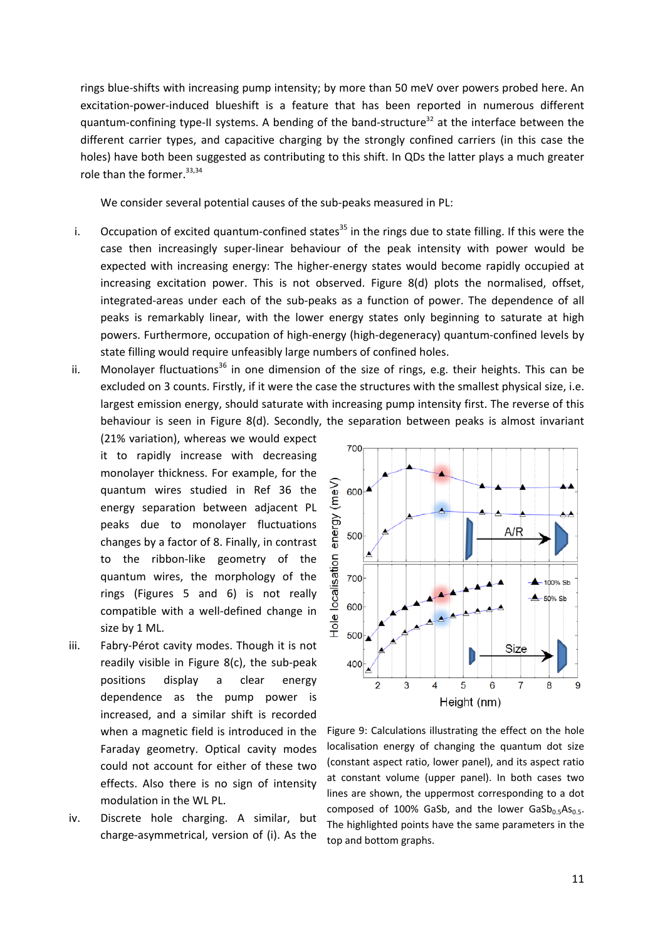rings blue-shifts with increasing pump intensity; by more than 50 meV over powers probed here. An excitation-power-induced blueshift is a feature that has been reported in numerous different quantum-confining type-II systems. A bending of the band-structure<sup>32</sup> at the interface between the different carrier types, and capacitive charging by the strongly confined carriers (in this case the holes) have both been suggested as contributing to this shift. In QDs the latter plays a much greater role than the former.<sup>33,34</sup>

We consider several potential causes of the sub-peaks measured in PL:

- i. Occupation of excited quantum-confined states<sup>35</sup> in the rings due to state filling. If this were the case then increasingly super-linear behaviour of the peak intensity with power would be expected with increasing energy: The higher-energy states would become rapidly occupied at increasing excitation power. This is not observed. Figure 8(d) plots the normalised, offset, integrated‐areas under each of the sub‐peaks as a function of power. The dependence of all peaks is remarkably linear, with the lower energy states only beginning to saturate at high powers. Furthermore, occupation of high‐energy (high‐degeneracy) quantum‐confined levels by state filling would require unfeasibly large numbers of confined holes.
- ii. Monolayer fluctuations<sup>36</sup> in one dimension of the size of rings, e.g. their heights. This can be excluded on 3 counts. Firstly, if it were the case the structures with the smallest physical size, i.e. largest emission energy, should saturate with increasing pump intensity first. The reverse of this behaviour is seen in Figure 8(d). Secondly, the separation between peaks is almost invariant

(21% variation), whereas we would expect it to rapidly increase with decreasing monolayer thickness. For example, for the quantum wires studied in Ref 36 the energy separation between adjacent PL peaks due to monolayer fluctuations changes by a factor of 8. Finally, in contrast to the ribbon‐like geometry of the quantum wires, the morphology of the rings (Figures 5 and 6) is not really compatible with a well‐defined change in size by 1 ML.

- iii. Fabry‐Pérot cavity modes. Though it is not readily visible in Figure 8(c), the sub‐peak positions display a clear energy dependence as the pump power is increased, and a similar shift is recorded when a magnetic field is introduced in the Faraday geometry. Optical cavity modes could not account for either of these two effects. Also there is no sign of intensity modulation in the WL PL.
- iv. Discrete hole charging. A similar, but charge‐asymmetrical, version of (i). As the



Figure 9: Calculations illustrating the effect on the hole localisation energy of changing the quantum dot size (constant aspect ratio, lower panel), and its aspect ratio at constant volume (upper panel). In both cases two lines are shown, the uppermost corresponding to a dot composed of 100% GaSb, and the lower  $GaSb_{0.5}As_{0.5}$ . The highlighted points have the same parameters in the top and bottom graphs.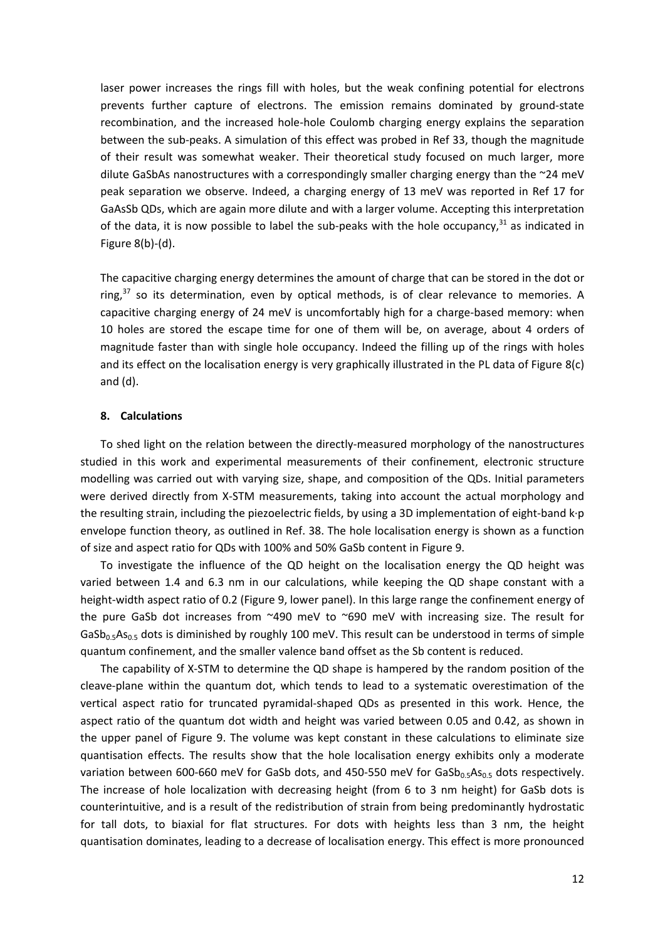laser power increases the rings fill with holes, but the weak confining potential for electrons prevents further capture of electrons. The emission remains dominated by ground‐state recombination, and the increased hole‐hole Coulomb charging energy explains the separation between the sub‐peaks. A simulation of this effect was probed in Ref 33, though the magnitude of their result was somewhat weaker. Their theoretical study focused on much larger, more dilute GaSbAs nanostructures with a correspondingly smaller charging energy than the ~24 meV peak separation we observe. Indeed, a charging energy of 13 meV was reported in Ref 17 for GaAsSb QDs, which are again more dilute and with a larger volume. Accepting this interpretation of the data, it is now possible to label the sub-peaks with the hole occupancy, $31$  as indicated in Figure 8(b)‐(d).

The capacitive charging energy determines the amount of charge that can be stored in the dot or ring, $37$  so its determination, even by optical methods, is of clear relevance to memories. A capacitive charging energy of 24 meV is uncomfortably high for a charge‐based memory: when 10 holes are stored the escape time for one of them will be, on average, about 4 orders of magnitude faster than with single hole occupancy. Indeed the filling up of the rings with holes and its effect on the localisation energy is very graphically illustrated in the PL data of Figure 8(c) and (d).

# **8. Calculations**

To shed light on the relation between the directly-measured morphology of the nanostructures studied in this work and experimental measurements of their confinement, electronic structure modelling was carried out with varying size, shape, and composition of the QDs. Initial parameters were derived directly from X-STM measurements, taking into account the actual morphology and the resulting strain, including the piezoelectric fields, by using a 3D implementation of eight‐band k∙p envelope function theory, as outlined in Ref. 38. The hole localisation energy is shown as a function of size and aspect ratio for QDs with 100% and 50% GaSb content in Figure 9.

To investigate the influence of the QD height on the localisation energy the QD height was varied between 1.4 and 6.3 nm in our calculations, while keeping the QD shape constant with a height-width aspect ratio of 0.2 (Figure 9, lower panel). In this large range the confinement energy of the pure GaSb dot increases from ~490 meV to ~690 meV with increasing size. The result for GaSb<sub>0.5</sub>As<sub>0.5</sub> dots is diminished by roughly 100 meV. This result can be understood in terms of simple quantum confinement, and the smaller valence band offset as the Sb content is reduced.

The capability of X-STM to determine the QD shape is hampered by the random position of the cleave‐plane within the quantum dot, which tends to lead to a systematic overestimation of the vertical aspect ratio for truncated pyramidal‐shaped QDs as presented in this work. Hence, the aspect ratio of the quantum dot width and height was varied between 0.05 and 0.42, as shown in the upper panel of Figure 9. The volume was kept constant in these calculations to eliminate size quantisation effects. The results show that the hole localisation energy exhibits only a moderate variation between 600-660 meV for GaSb dots, and 450-550 meV for  $GaSb_{0.5}As_{0.5}$  dots respectively. The increase of hole localization with decreasing height (from 6 to 3 nm height) for GaSb dots is counterintuitive, and is a result of the redistribution of strain from being predominantly hydrostatic for tall dots, to biaxial for flat structures. For dots with heights less than 3 nm, the height quantisation dominates, leading to a decrease of localisation energy. This effect is more pronounced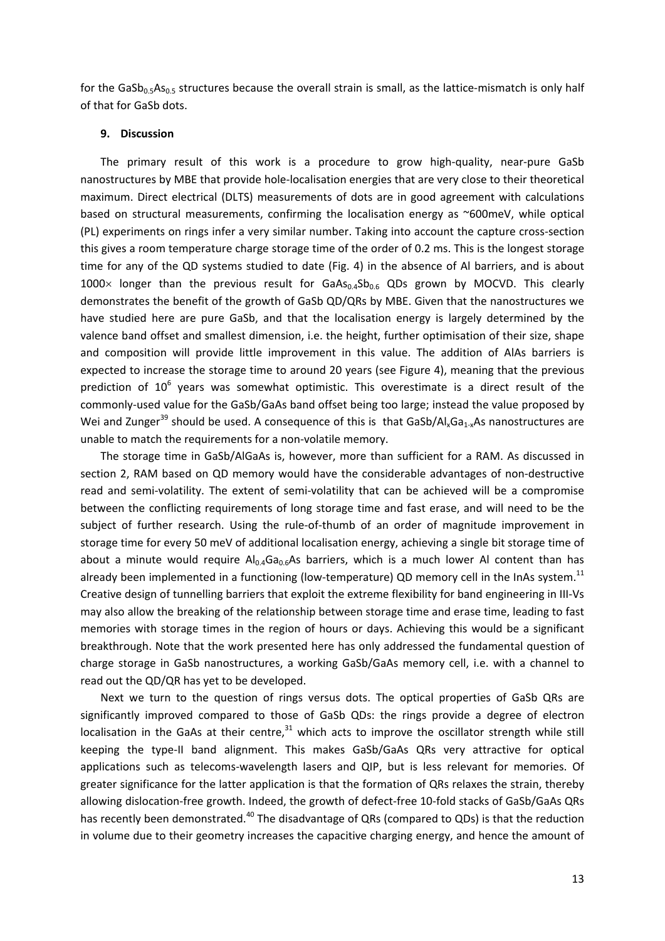for the GaSb<sub>0.5</sub>As<sub>0.5</sub> structures because the overall strain is small, as the lattice-mismatch is only half of that for GaSb dots.

#### **9. Discussion**

The primary result of this work is a procedure to grow high-quality, near-pure GaSb nanostructures by MBE that provide hole‐localisation energies that are very close to their theoretical maximum. Direct electrical (DLTS) measurements of dots are in good agreement with calculations based on structural measurements, confirming the localisation energy as ~600meV, while optical (PL) experiments on rings infer a very similar number. Taking into account the capture cross‐section this gives a room temperature charge storage time of the order of 0.2 ms. This is the longest storage time for any of the QD systems studied to date (Fig. 4) in the absence of Al barriers, and is about  $1000 \times$  longer than the previous result for GaAs $_{0.4}$ Sb $_{0.6}$  QDs grown by MOCVD. This clearly demonstrates the benefit of the growth of GaSb QD/QRs by MBE. Given that the nanostructures we have studied here are pure GaSb, and that the localisation energy is largely determined by the valence band offset and smallest dimension, i.e. the height, further optimisation of their size, shape and composition will provide little improvement in this value. The addition of AlAs barriers is expected to increase the storage time to around 20 years (see Figure 4), meaning that the previous prediction of  $10^6$  years was somewhat optimistic. This overestimate is a direct result of the commonly‐used value for the GaSb/GaAs band offset being too large; instead the value proposed by Wei and Zunger<sup>39</sup> should be used. A consequence of this is that GaSb/Al<sub>x</sub>Ga<sub>1-x</sub>As nanostructures are unable to match the requirements for a non‐volatile memory.

The storage time in GaSb/AlGaAs is, however, more than sufficient for a RAM. As discussed in section 2, RAM based on QD memory would have the considerable advantages of non-destructive read and semi-volatility. The extent of semi-volatility that can be achieved will be a compromise between the conflicting requirements of long storage time and fast erase, and will need to be the subject of further research. Using the rule-of-thumb of an order of magnitude improvement in storage time for every 50 meV of additional localisation energy, achieving a single bit storage time of about a minute would require  $Al_{0.4}Ga_{0.6}As$  barriers, which is a much lower Al content than has already been implemented in a functioning (low-temperature) QD memory cell in the InAs system.<sup>11</sup> Creative design of tunnelling barriers that exploit the extreme flexibility for band engineering in III‐Vs may also allow the breaking of the relationship between storage time and erase time, leading to fast memories with storage times in the region of hours or days. Achieving this would be a significant breakthrough. Note that the work presented here has only addressed the fundamental question of charge storage in GaSb nanostructures, a working GaSb/GaAs memory cell, i.e. with a channel to read out the QD/QR has yet to be developed.

Next we turn to the question of rings versus dots. The optical properties of GaSb QRs are significantly improved compared to those of GaSb QDs: the rings provide a degree of electron localisation in the GaAs at their centre, $31$  which acts to improve the oscillator strength while still keeping the type-II band alignment. This makes GaSb/GaAs QRs very attractive for optical applications such as telecoms-wavelength lasers and QIP, but is less relevant for memories. Of greater significance for the latter application is that the formation of QRs relaxes the strain, thereby allowing dislocation‐free growth. Indeed, the growth of defect‐free 10‐fold stacks of GaSb/GaAs QRs has recently been demonstrated.<sup>40</sup> The disadvantage of QRs (compared to QDs) is that the reduction in volume due to their geometry increases the capacitive charging energy, and hence the amount of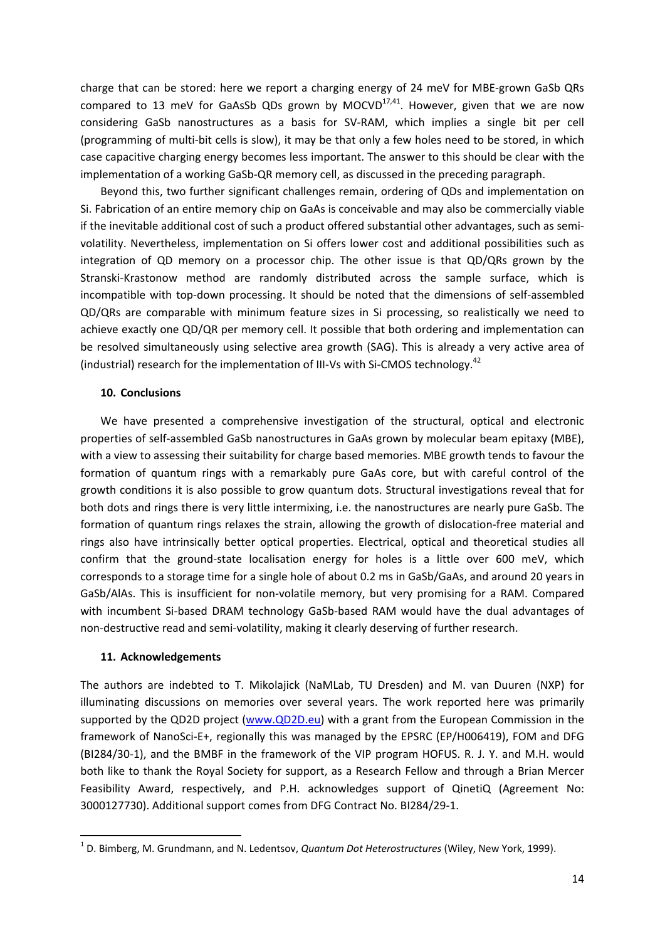charge that can be stored: here we report a charging energy of 24 meV for MBE‐grown GaSb QRs compared to 13 meV for GaAsSb QDs grown by MOCVD $^{17,41}$ . However, given that we are now considering GaSb nanostructures as a basis for SV‐RAM, which implies a single bit per cell (programming of multi‐bit cells is slow), it may be that only a few holes need to be stored, in which case capacitive charging energy becomes less important. The answer to this should be clear with the implementation of a working GaSb-QR memory cell, as discussed in the preceding paragraph.

Beyond this, two further significant challenges remain, ordering of QDs and implementation on Si. Fabrication of an entire memory chip on GaAs is conceivable and may also be commercially viable if the inevitable additional cost of such a product offered substantial other advantages, such as semi‐ volatility. Nevertheless, implementation on Si offers lower cost and additional possibilities such as integration of QD memory on a processor chip. The other issue is that QD/QRs grown by the Stranski‐Krastonow method are randomly distributed across the sample surface, which is incompatible with top-down processing. It should be noted that the dimensions of self-assembled QD/QRs are comparable with minimum feature sizes in Si processing, so realistically we need to achieve exactly one QD/QR per memory cell. It possible that both ordering and implementation can be resolved simultaneously using selective area growth (SAG). This is already a very active area of (industrial) research for the implementation of III‐Vs with Si‐CMOS technology.<sup>42</sup>

# **10. Conclusions**

We have presented a comprehensive investigation of the structural, optical and electronic properties of self‐assembled GaSb nanostructures in GaAs grown by molecular beam epitaxy (MBE), with a view to assessing their suitability for charge based memories. MBE growth tends to favour the formation of quantum rings with a remarkably pure GaAs core, but with careful control of the growth conditions it is also possible to grow quantum dots. Structural investigations reveal that for both dots and rings there is very little intermixing, i.e. the nanostructures are nearly pure GaSb. The formation of quantum rings relaxes the strain, allowing the growth of dislocation‐free material and rings also have intrinsically better optical properties. Electrical, optical and theoretical studies all confirm that the ground-state localisation energy for holes is a little over 600 meV, which corresponds to a storage time for a single hole of about 0.2 ms in GaSb/GaAs, and around 20 years in GaSb/AlAs. This is insufficient for non‐volatile memory, but very promising for a RAM. Compared with incumbent Si-based DRAM technology GaSb-based RAM would have the dual advantages of non‐destructive read and semi‐volatility, making it clearly deserving of further research.

## **11. Acknowledgements**

The authors are indebted to T. Mikolajick (NaMLab, TU Dresden) and M. van Duuren (NXP) for illuminating discussions on memories over several years. The work reported here was primarily supported by the QD2D project (www.QD2D.eu) with a grant from the European Commission in the framework of NanoSci-E+, regionally this was managed by the EPSRC (EP/H006419), FOM and DFG (BI284/30‐1), and the BMBF in the framework of the VIP program HOFUS. R. J. Y. and M.H. would both like to thank the Royal Society for support, as a Research Fellow and through a Brian Mercer Feasibility Award, respectively, and P.H. acknowledges support of QinetiQ (Agreement No: 3000127730). Additional support comes from DFG Contract No. BI284/29‐1.

<sup>1</sup> D. Bimberg, M. Grundmann, and N. Ledentsov, *Quantum Dot Heterostructures* (Wiley, New York, 1999).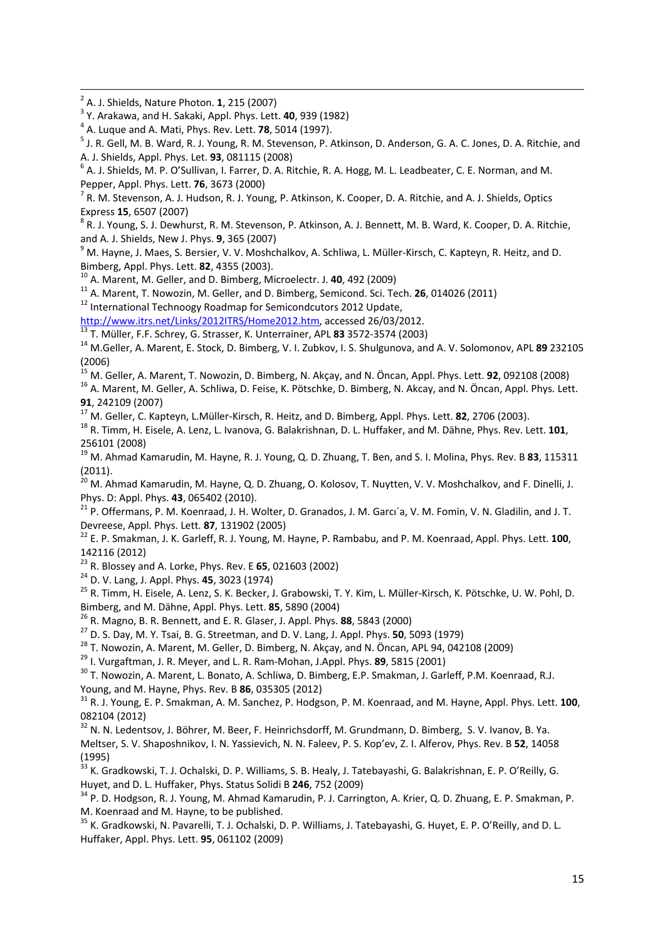<sup>2</sup> A. J. Shields, Nature Photon. 1, 215 (2007)<br><sup>3</sup> Y. Arakawa, and H. Sakaki, Appl. Phys. Lett. **40**, 939 (1982)<br><sup>4</sup> A. Luque and A. Mati, Phys. Rev. Lett. **78**, 5014 (1997).<br><sup>5</sup> J. R. Gell. M. B. Ward, R. J. Young, R. M

A. J. Shields, Appl. Phys. Let. **93**, 081115 (2008)<br><sup>6</sup> A. J. Shields, M. P. O'Sullivan, I. Farrer, D. A. Ritchie, R. A. Hogg, M. L. Leadbeater, C. E. Norman, and M.<br>Pepper, Appl. Phys. Lett. **76**, 3673 (2000)

<sup>7</sup> R. M. Stevenson, A. J. Hudson, R. J. Young, P. Atkinson, K. Cooper, D. A. Ritchie, and A. J. Shields, Optics

Express **15**, 6507 (2007)<br><sup>8</sup> R. J. Young, S. J. Dewhurst, R. M. Stevenson, P. Atkinson, A. J. Bennett, M. B. Ward, K. Cooper, D. A. Ritchie,<br>and A. J. Shields, New J. Phys. **9**, 365 (2007)

<sup>9</sup> M. Hayne, J. Maes, S. Bersier, V. V. Moshchalkov, A. Schliwa, L. Müller-Kirsch, C. Kapteyn, R. Heitz, and D.<br>Bimberg, Appl. Phys. Lett. **82**, 4355 (2003).

<sup>10</sup> A. Marent, M. Geller, and D. Bimberg, Microelectr. J. **40**, 492 (2009)<br><sup>11</sup> A. Marent, T. Nowozin, M. Geller, and D. Bimberg, Semicond. Sci. Tech. **26**, 014026 (2011)<br><sup>12</sup> International Technoogy Roadmap for Semicond

 $\frac{\text{http://www.itrs.net/Links/2012ITRS/Home2012.htm}}{13}$ , accessed 26/03/2012.<br>
<sup>13</sup> T. Müller, F.F. Schrey, G. Strasser, K. Unterrainer, APL 83 3572-3574 (2003)<br>
<sup>14</sup> M.Geller, A. Marent, E. Stock, D. Bimberg, V. I. Zubkov, I. S. Shulgunova, (2006)

<sup>15</sup> M. Geller, A. Marent, T. Nowozin, D. Bimberg, N. Akçay, and N. Öncan, Appl. Phys. Lett. **92**, 092108 (2008)<br><sup>16</sup> A. Marent, M. Geller, A. Schliwa, D. Feise, K. Pötschke, D. Bimberg, N. Akcay, and N. Öncan, Appl. Phys. 91, 242109 (2007)<br><sup>17</sup> M. Geller, C. Kapteyn, L.Müller-Kirsch, R. Heitz, and D. Bimberg, Appl. Phys. Lett. 82, 2706 (2003).<br><sup>18</sup> R. Timm, H. Eisele, A. Lenz, L. Ivanova, G. Balakrishnan, D. L. Huffaker, and M. Dähne, Phys.

<sup>256101</sup> (2008) <sup>19</sup> M. Ahmad Kamarudin, M. Hayne, R. J. Young, Q. D. Zhuang, T. Ben, and S. I. Molina, Phys. Rev. <sup>B</sup> **<sup>83</sup>**, <sup>115311</sup>

(2011).

<sup>20</sup> M. Ahmad Kamarudin, M. Hayne, Q. D. Zhuang, O. Kolosov, T. Nuytten, V. V. Moshchalkov, and F. Dinelli, J.

Phys. D: Appl. Phys. **43**, 065402 (2010).<br><sup>21</sup> P. Offermans, P. M. Koenraad, J. H. Wolter, D. Granados, J. M. Garcı´a, V. M. Fomin, V. N. Gladilin, and J. T.<br>Devreese. Appl. Phys. Lett. **87**. 131902 (2005)

<sup>22</sup> E. P. Smakman, J. K. Garleff, R. J. Young, M. Hayne, P. Rambabu, and P. M. Koenraad, Appl. Phys. Lett. **100**,

142116 (2012)<br><sup>23</sup> R. Blossey and A. Lorke, Phys. Rev. E **65**, 021603 (2002)<br><sup>24</sup> D. V. Lang, J. Appl. Phys. **45**, 3023 (1974)<br><sup>25</sup> R. Timm, H. Eisele, A. Lenz, S. K. Becker, J. Grabowski, T. Y. Kim, L. Müller-Kirsch, K. P

<sup>26</sup> R. Magno, B. R. Bennett, and E. R. Glaser, J. Appl. Phys. **88**, 5843 (2000)<br><sup>27</sup> D. S. Day, M. Y. Tsai, B. G. Streetman, and D. V. Lang, J. Appl. Phys. **50**, 5093 (1979)<br><sup>28</sup> T. Nowozin, A. Marent, M. Geller, D. Bimb

Young, and M. Hayne, Phys. Rev. B 86, 035305 (2012)<br><sup>31</sup> R. J. Young, E. P. Smakman, A. M. Sanchez, P. Hodgson, P. M. Koenraad, and M. Hayne, Appl. Phys. Lett. 100,

082104 (2012)<br><sup>32</sup> N. N. Ledentsov, J. Böhrer, M. Beer, F. Heinrichsdorff, M. Grundmann, D. Bimberg, S. V. Ivanov, B. Ya.

Meltser, S. V. Shaposhnikov, I. N. Yassievich, N. N. Faleev, P. S. Kop'ev, Z. I. Alferov, Phys. Rev. B **52**, 14058 (1995)

<sup>33</sup> K. Gradkowski, T. J. Ochalski, D. P. Williams, S. B. Healy, J. Tatebayashi, G. Balakrishnan, E. P. O'Reilly, G.

Huyet, and D. L. Huffaker, Phys. Status Solidi B 246, 752 (2009)<br><sup>34</sup> P. D. Hodgson, R. J. Young, M. Ahmad Kamarudin, P. J. Carrington, A. Krier, Q. D. Zhuang, E. P. Smakman, P.<br>M. Koenraad and M. Hayne, to be published.

<sup>35</sup> K. Gradkowski, N. Pavarelli, T. J. Ochalski, D. P. Williams, J. Tatebayashi, G. Huyet, E. P. O'Reilly, and D. L. Huffaker, Appl. Phys. Lett. **95**, 061102 (2009)